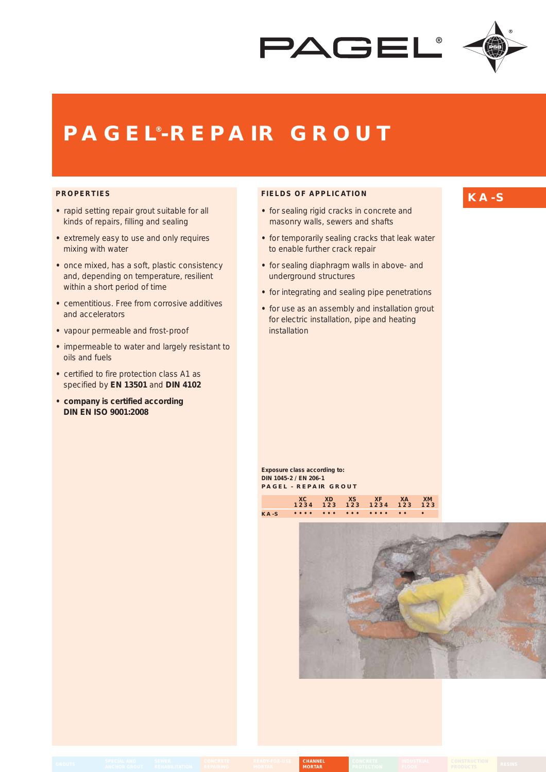



# **PAGEL® -REPAIR GROUT**

### **PROPERTIES**

- rapid setting repair grout suitable for all kinds of repairs, filling and sealing
- extremely easy to use and only requires mixing with water
- once mixed, has a soft, plastic consistency and, depending on temperature, resilient within a short period of time
- cementitious. Free from corrosive additives and accelerators
- vapour permeable and frost-proof
- impermeable to water and largely resistant to oils and fuels
- certified to fire protection class A1 as specified by **EN 13501** and **DIN 4102**
- **company is certified according DIN EN ISO 9001:2008**

## **FIELDS OF APPLICATION**

- for sealing rigid cracks in concrete and masonry walls, sewers and shafts
- for temporarily sealing cracks that leak water to enable further crack repair
- for sealing diaphragm walls in above- and underground structures
- for integrating and sealing pipe penetrations
- for use as an assembly and installation grout for electric installation, pipe and heating installation

**Exposure class according to: DIN 1045-2 / EN 206-1 PAGEL - REPAIR GROUT**

|  |  | XC XD XS XF XA XM<br>1234 123 123 1234 123 123 |  |
|--|--|------------------------------------------------|--|
|  |  |                                                |  |



**MORTAR GROUTS CHANNEL MORTAR**

# **KA-S**